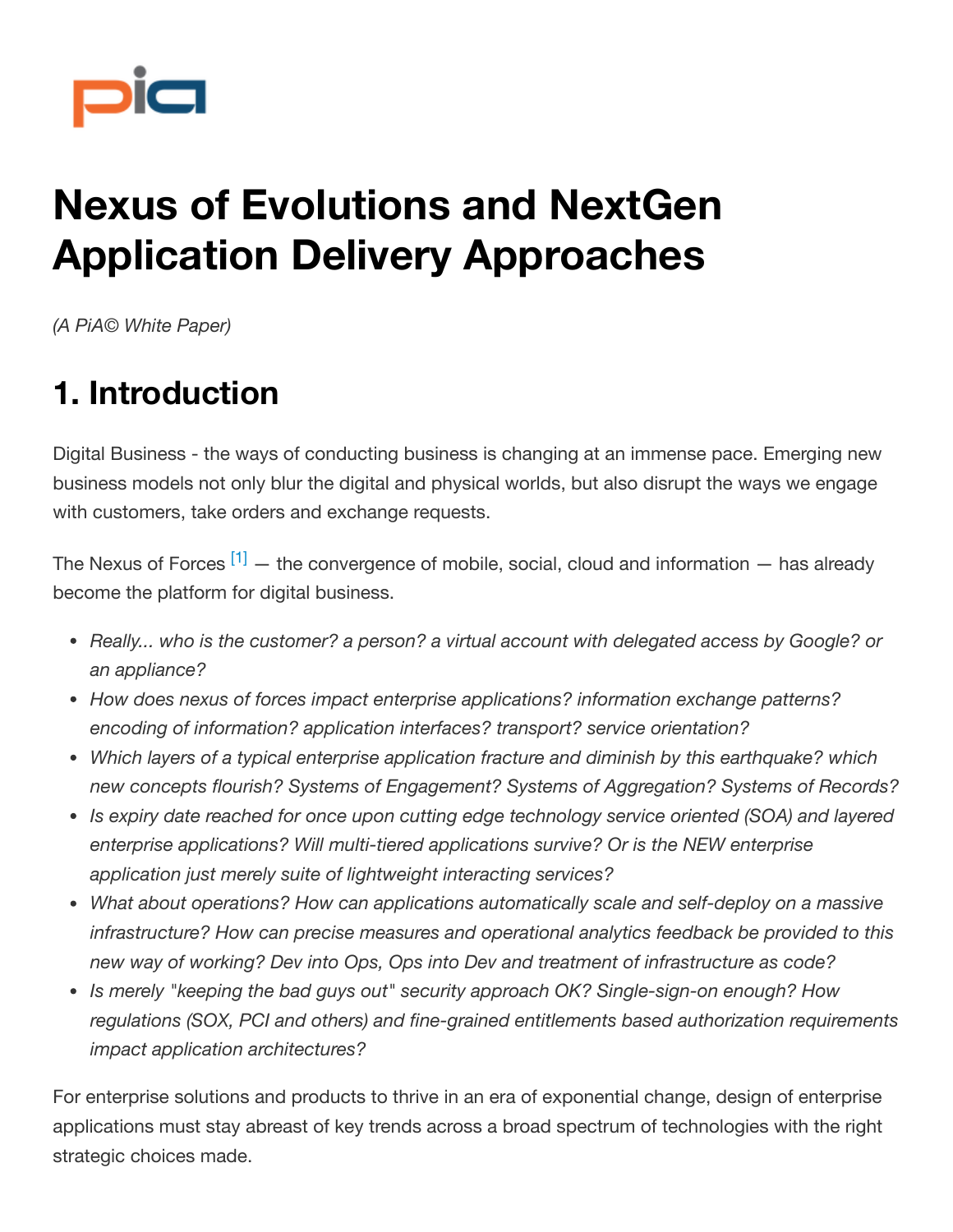

# **Nexus of Evolutions and NextGen Application Delivery Approaches**

*(A PiA© White Paper)*

# **1. Introduction**

Digital Business - the ways of conducting business is changing at an immense pace. Emerging new business models not only blur the digital and physical worlds, but also disrupt the ways we engage with customers, take orders and exchange requests.

<span id="page-0-0"></span>The Nexus of Forces  $[1]$  – the convergence of mobile, social, cloud and information – has already become the platform for digital business.

- *Really... who is the customer? a person? a virtual account with delegated access by Google? or an appliance?*
- *How does nexus of forces impact enterprise applications? information exchange patterns? encoding of information? application interfaces? transport? service orientation?*
- *Which layers of a typical enterprise application fracture and diminish by this earthquake? which new concepts flourish? Systems of Engagement? Systems of Aggregation? Systems of Records?*
- *Is expiry date reached for once upon cutting edge technology service oriented (SOA) and layered enterprise applications? Will multi-tiered applications survive? Or is the NEW enterprise application just merely suite of lightweight interacting services?*
- *What about operations? How can applications automatically scale and self-deploy on a massive infrastructure? How can precise measures and operational analytics feedback be provided to this new way of working? Dev into Ops, Ops into Dev and treatment of infrastructure as code?*
- *Is merely "keeping the bad guys out" security approach OK? Single-sign-on enough? How regulations (SOX, PCI and others) and fine-grained entitlements based authorization requirements impact application architectures?*

For enterprise solutions and products to thrive in an era of exponential change, design of enterprise applications must stay abreast of key trends across a broad spectrum of technologies with the right strategic choices made.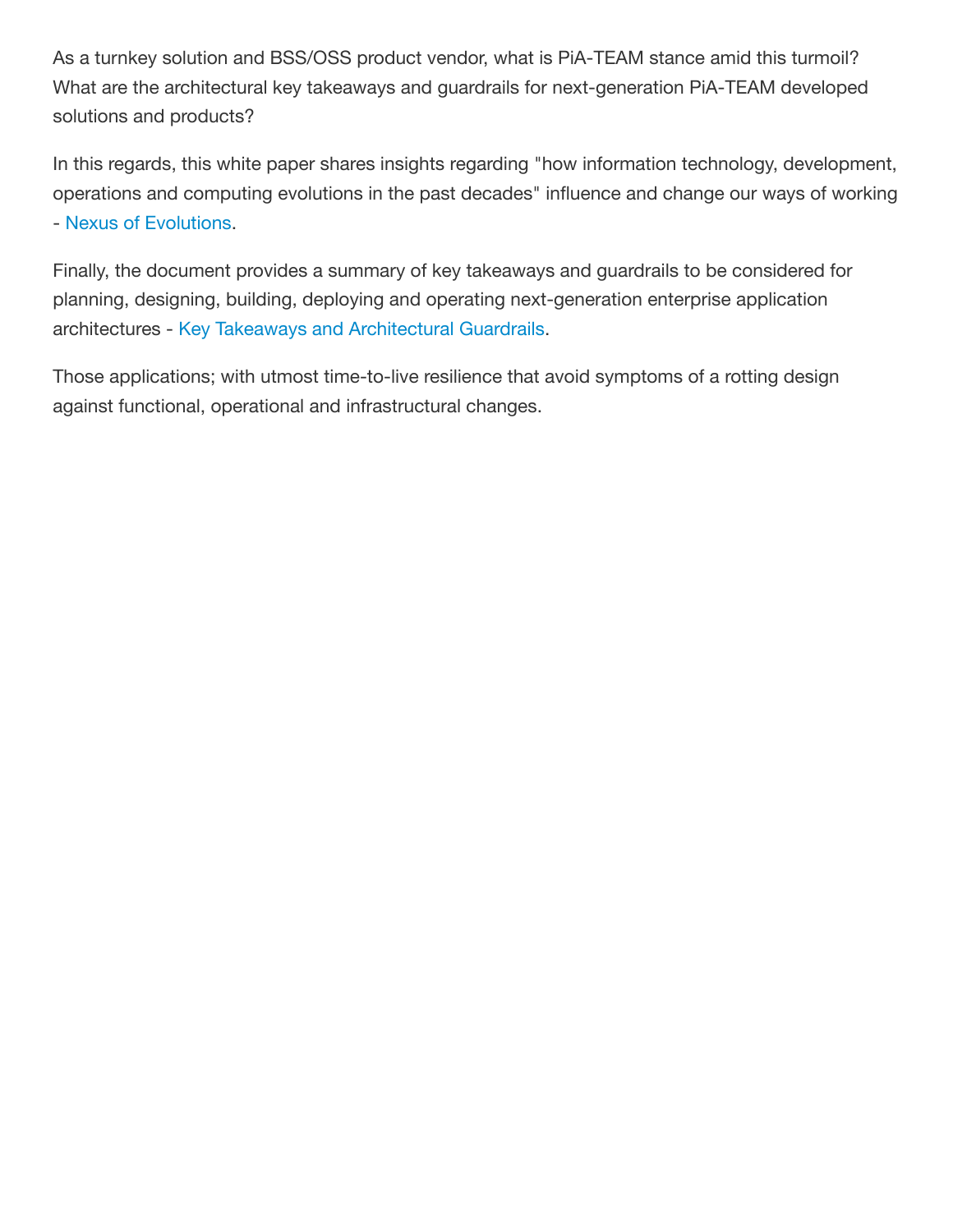As a turnkey solution and BSS/OSS product vendor, what is PiA-TEAM stance amid this turmoil? What are the architectural key takeaways and guardrails for next-generation PiA-TEAM developed solutions and products?

In this regards, this white paper shares insights regarding "how information technology, development, operations and computing evolutions in the past decades" influence and change our ways of working - Nexus of [Evolutions.](#page-2-0)

Finally, the document provides a summary of key takeaways and guardrails to be considered for planning, designing, building, deploying and operating next-generation enterprise application architectures - [Key Takeaways and](#page-15-0) Architectural Guardrails.

Those applications; with utmost time-to-live resilience that avoid symptoms of a rotting design against functional, operational and infrastructural changes.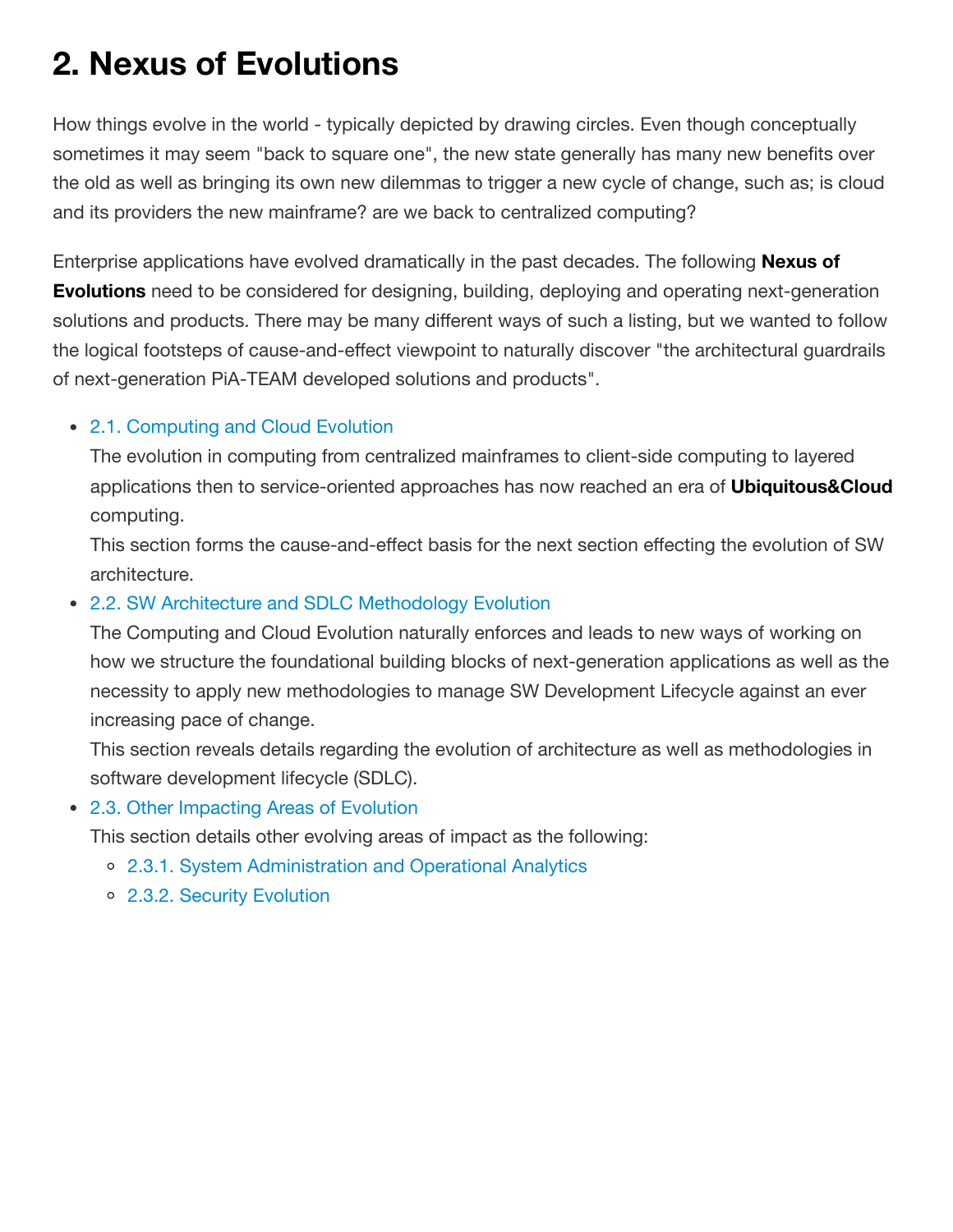# <span id="page-2-0"></span>**2. Nexus of Evolutions**

How things evolve in the world - typically depicted by drawing circles. Even though conceptually sometimes it may seem "back to square one", the new state generally has many new benefits over the old as well as bringing its own new dilemmas to trigger a new cycle of change, such as; is cloud and its providers the new mainframe? are we back to centralized computing?

Enterprise applications have evolved dramatically in the past decades. The following **Nexus of Evolutions** need to be considered for designing, building, deploying and operating next-generation solutions and products. There may be many different ways of such a listing, but we wanted to follow the logical footsteps of cause-and-effect viewpoint to naturally discover "the architectural guardrails of next-generation PiA-TEAM developed solutions and products".

#### 2.1. [Computing](#page-3-0) and Cloud Evolution

The evolution in computing from centralized mainframes to client-side computing to layered applications then to service-oriented approaches has now reached an era of **Ubiquitous&Cloud** computing.

This section forms the cause-and-effect basis for the next section effecting the evolution of SW architecture.

#### 2.2. SW Architecture and SDLC [Methodology Evolution](#page-6-0)

The Computing and Cloud Evolution naturally enforces and leads to new ways of working on how we structure the foundational building blocks of next-generation applications as well as the necessity to apply new methodologies to manage SW Development Lifecycle against an ever increasing pace of change.

This section reveals details regarding the evolution of architecture as well as methodologies in software development lifecycle (SDLC).

#### 2.3. Other [Impacting](#page-11-0) Areas of Evolution

This section details other evolving areas of impact as the following:

- 2.3.1. System Administration and Operational Analytics
- 2.3.2. Security Evolution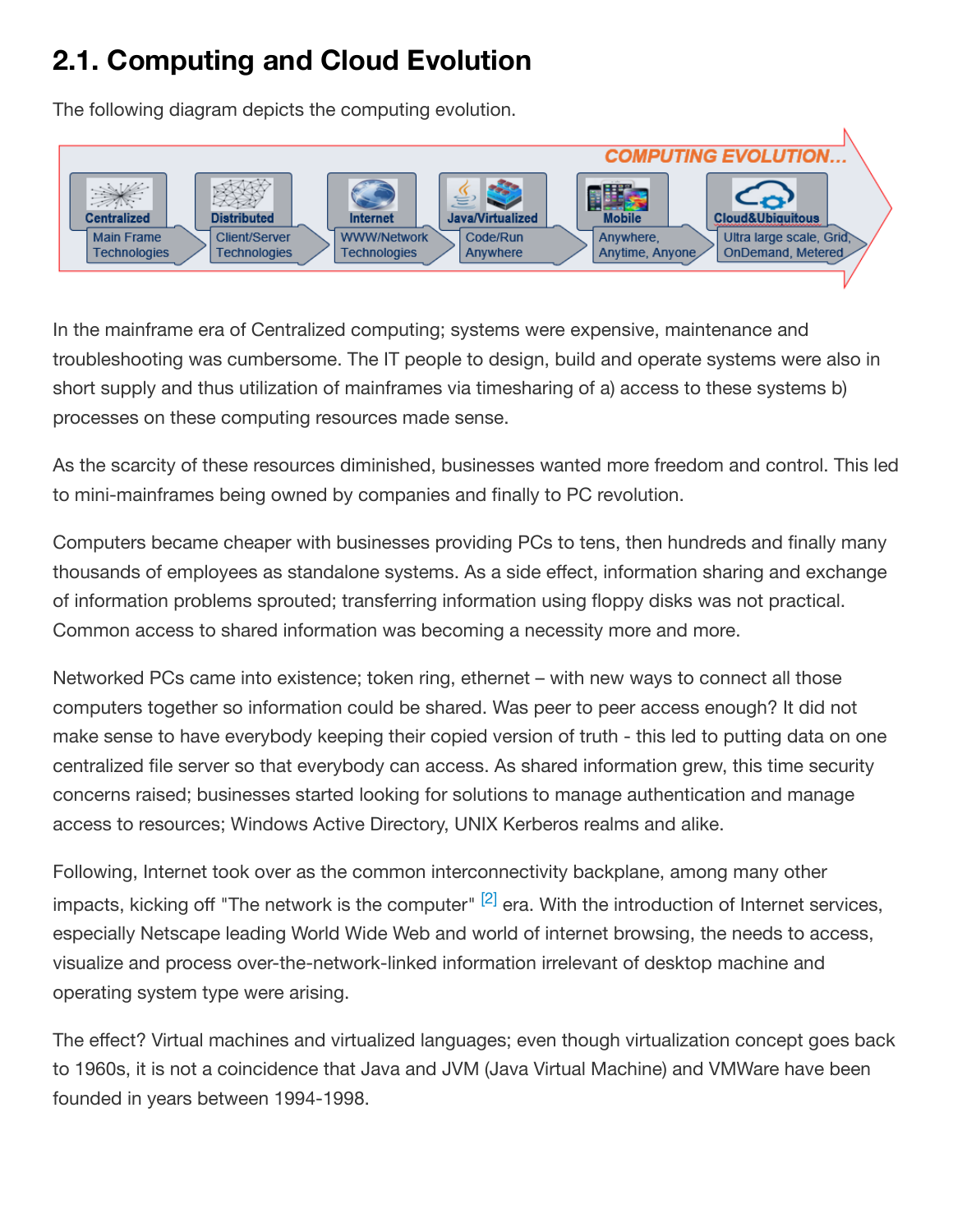## <span id="page-3-0"></span>**2.1. Computing and Cloud Evolution**

The following diagram depicts the computing evolution.



In the mainframe era of Centralized computing; systems were expensive, maintenance and troubleshooting was cumbersome. The IT people to design, build and operate systems were also in short supply and thus utilization of mainframes via timesharing of a) access to these systems b) processes on these computing resources made sense.

As the scarcity of these resources diminished, businesses wanted more freedom and control. This led to mini-mainframes being owned by companies and finally to PC revolution.

Computers became cheaper with businesses providing PCs to tens, then hundreds and finally many thousands of employees as standalone systems. As a side effect, information sharing and exchange of information problems sprouted; transferring information using floppy disks was not practical. Common access to shared information was becoming a necessity more and more.

Networked PCs came into existence; token ring, ethernet – with new ways to connect all those computers together so information could be shared. Was peer to peer access enough? It did not make sense to have everybody keeping their copied version of truth - this led to putting data on one centralized file server so that everybody can access. As shared information grew, this time security concerns raised; businesses started looking for solutions to manage authentication and manage access to resources; Windows Active Directory, UNIX Kerberos realms and alike.

<span id="page-3-1"></span>Following, Internet took over as the common interconnectivity backplane, among many other impacts, kicking off "The network is the computer" <sup>[\[2\]](#page-17-1)</sup> era. With the introduction of Internet services, especially Netscape leading World Wide Web and world of internet browsing, the needs to access, visualize and process over-the-network-linked information irrelevant of desktop machine and operating system type were arising.

The effect? Virtual machines and virtualized languages; even though virtualization concept goes back to 1960s, it is not a coincidence that Java and JVM (Java Virtual Machine) and VMWare have been founded in years between 1994-1998.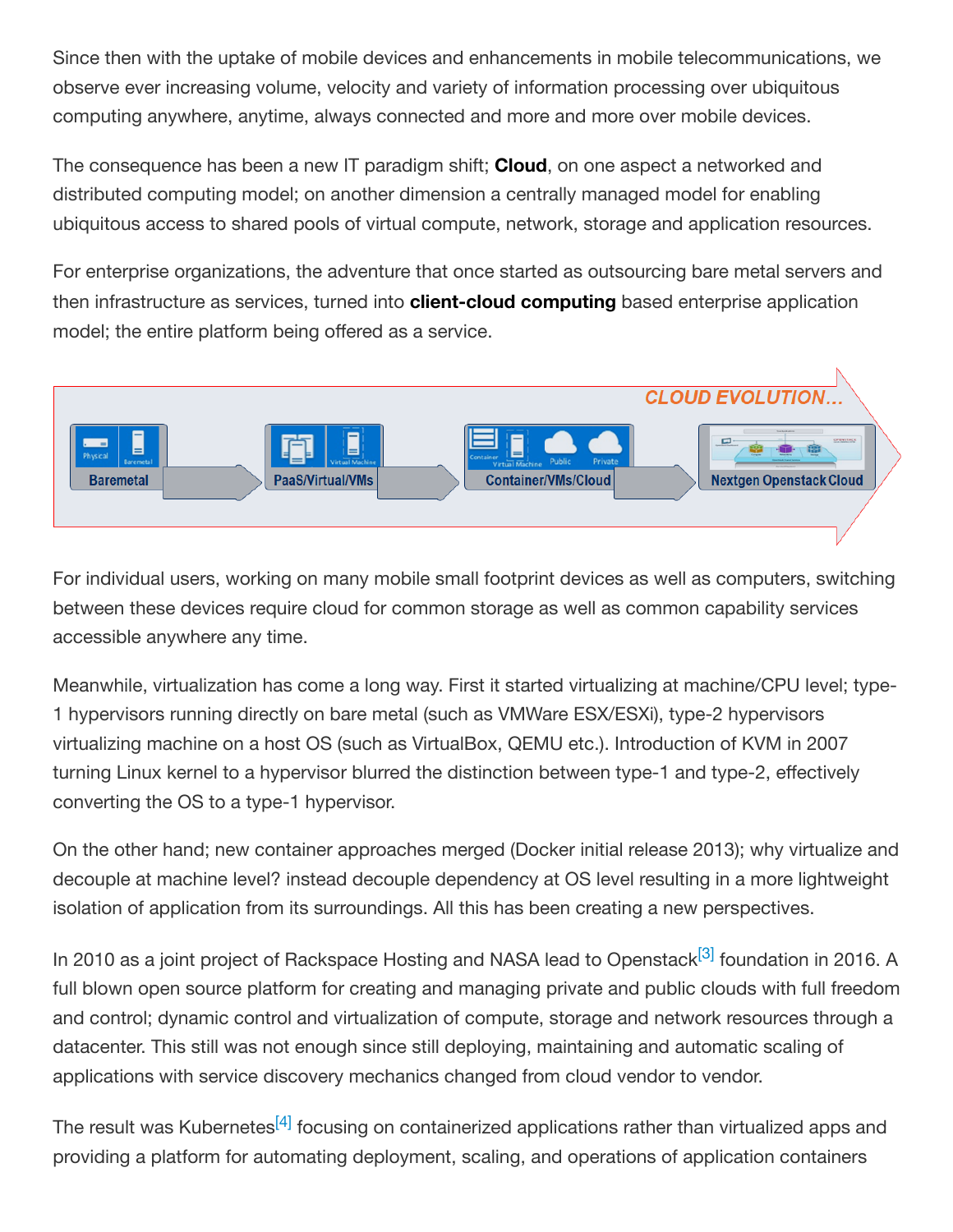Since then with the uptake of mobile devices and enhancements in mobile telecommunications, we observe ever increasing volume, velocity and variety of information processing over ubiquitous computing anywhere, anytime, always connected and more and more over mobile devices.

The consequence has been a new IT paradigm shift; **Cloud**, on one aspect a networked and distributed computing model; on another dimension a centrally managed model for enabling ubiquitous access to shared pools of virtual compute, network, storage and application resources.

For enterprise organizations, the adventure that once started as outsourcing bare metal servers and then infrastructure as services, turned into **client-cloud computing** based enterprise application model; the entire platform being offered as a service.



For individual users, working on many mobile small footprint devices as well as computers, switching between these devices require cloud for common storage as well as common capability services accessible anywhere any time.

Meanwhile, virtualization has come a long way. First it started virtualizing at machine/CPU level; type-1 hypervisors running directly on bare metal (such as VMWare ESX/ESXi), type-2 hypervisors virtualizing machine on a host OS (such as VirtualBox, QEMU etc.). Introduction of KVM in 2007 turning Linux kernel to a hypervisor blurred the distinction between type-1 and type-2, effectively converting the OS to a type-1 hypervisor.

On the other hand; new container approaches merged (Docker initial release 2013); why virtualize and decouple at machine level? instead decouple dependency at OS level resulting in a more lightweight isolation of application from its surroundings. All this has been creating a new perspectives.

<span id="page-4-0"></span>In 2010 as a joint project of Rackspace Hosting and NASA lead to Openstack<sup>[\[3\]](#page-17-2)</sup> foundation in 2016. A full blown open source platform for creating and managing private and public clouds with full freedom and control; dynamic control and virtualization of compute, storage and network resources through a datacenter. This still was not enough since still deploying, maintaining and automatic scaling of applications with service discovery mechanics changed from cloud vendor to vendor.

<span id="page-4-1"></span>The result was Kubernetes<sup>[\[4\]](#page-17-3)</sup> focusing on containerized applications rather than virtualized apps and providing a platform for automating deployment, scaling, and operations of application containers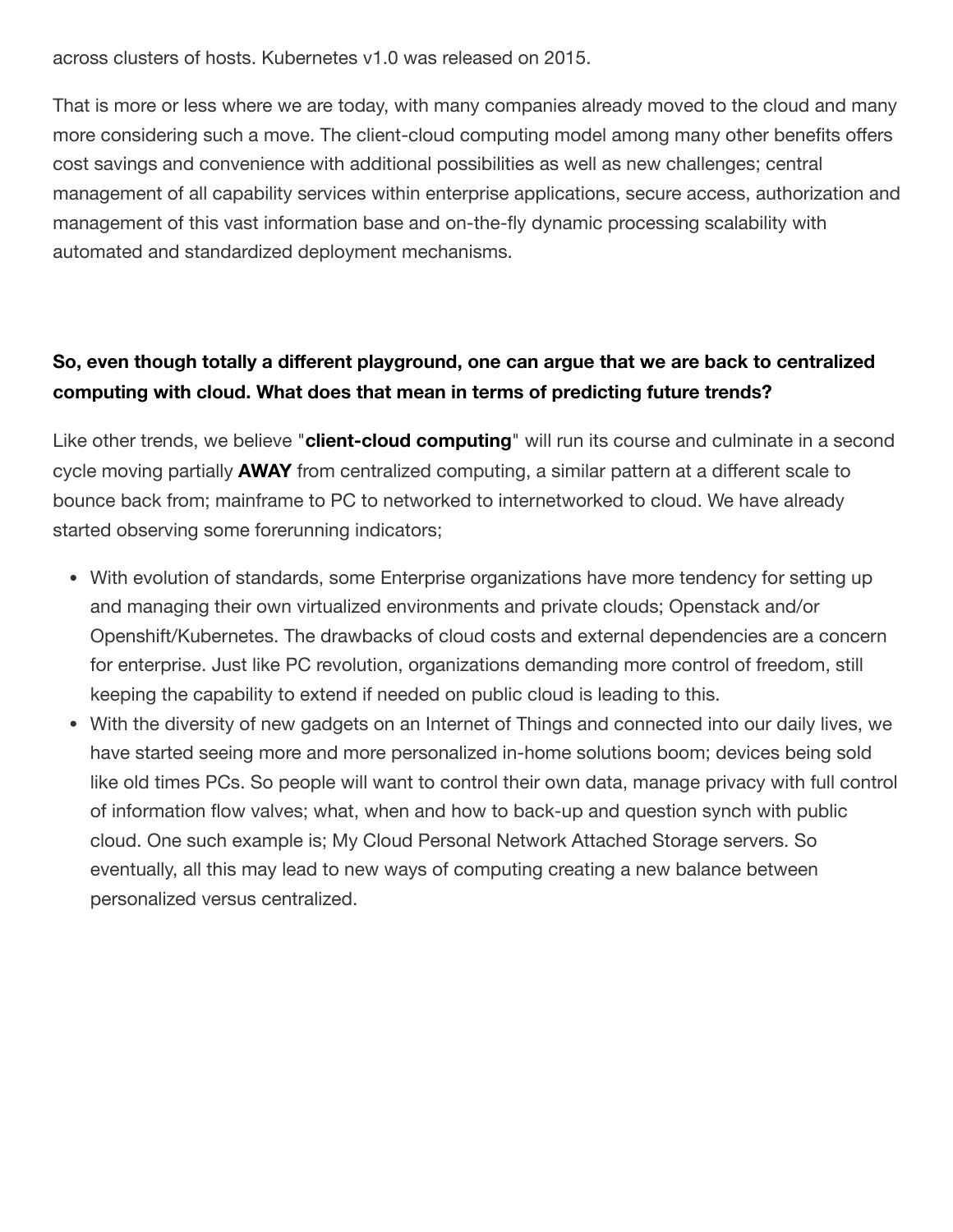across clusters of hosts. Kubernetes v1.0 was released on 2015.

That is more or less where we are today, with many companies already moved to the cloud and many more considering such a move. The client-cloud computing model among many other benefits offers cost savings and convenience with additional possibilities as well as new challenges; central management of all capability services within enterprise applications, secure access, authorization and management of this vast information base and on-the-fly dynamic processing scalability with automated and standardized deployment mechanisms.

### **So, even though totally a different playground, one can argue that we are back to centralized computing with cloud. What does that mean in terms of predicting future trends?**

Like other trends, we believe "**client-cloud computing**" will run its course and culminate in a second cycle moving partially **AWAY** from centralized computing, a similar pattern at a different scale to bounce back from; mainframe to PC to networked to internetworked to cloud. We have already started observing some forerunning indicators;

- With evolution of standards, some Enterprise organizations have more tendency for setting up and managing their own virtualized environments and private clouds; Openstack and/or Openshift/Kubernetes. The drawbacks of cloud costs and external dependencies are a concern for enterprise. Just like PC revolution, organizations demanding more control of freedom, still keeping the capability to extend if needed on public cloud is leading to this.
- With the diversity of new gadgets on an Internet of Things and connected into our daily lives, we have started seeing more and more personalized in-home solutions boom; devices being sold like old times PCs. So people will want to control their own data, manage privacy with full control of information flow valves; what, when and how to back-up and question synch with public cloud. One such example is; My Cloud Personal Network Attached Storage servers. So eventually, all this may lead to new ways of computing creating a new balance between personalized versus centralized.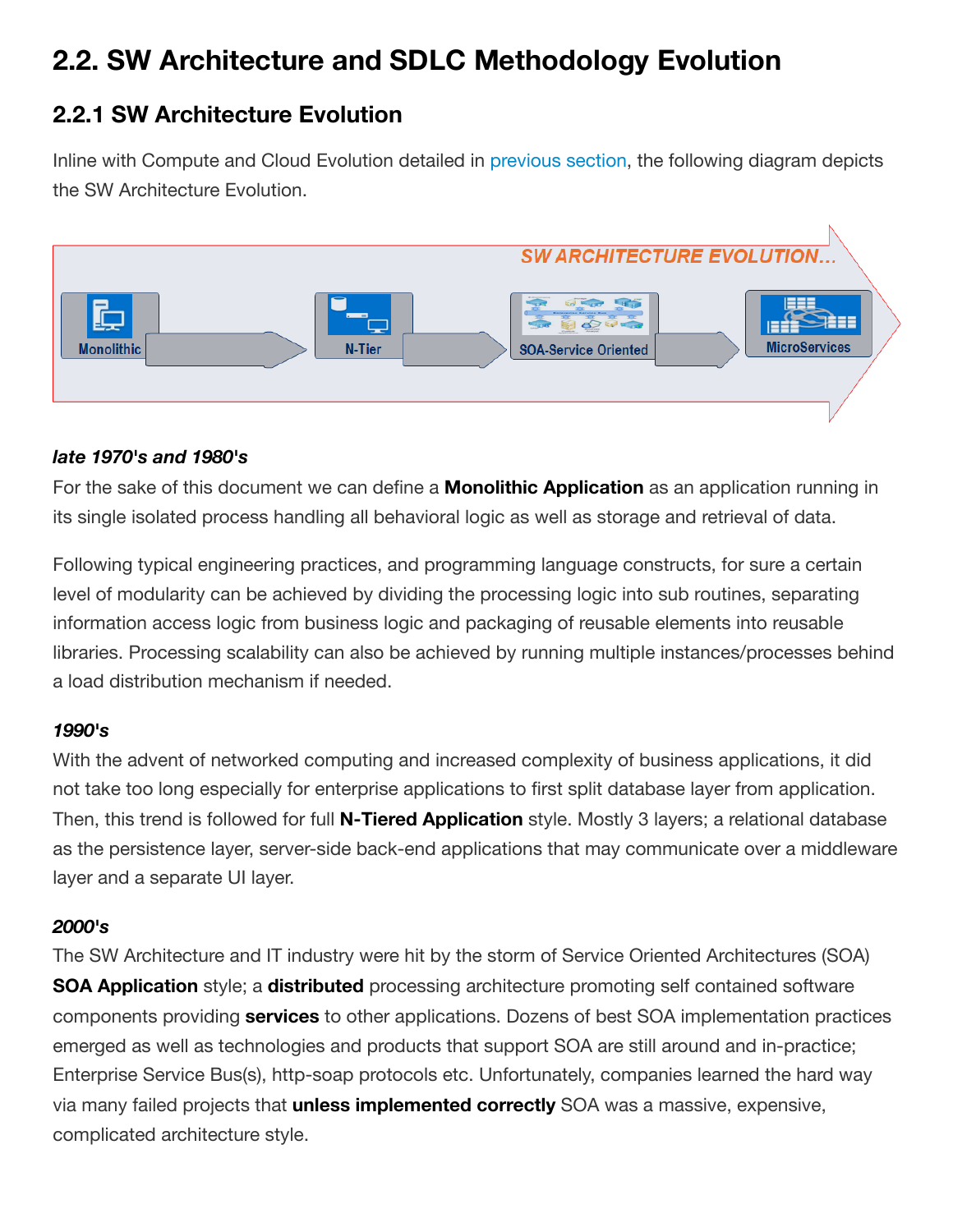## <span id="page-6-0"></span>**2.2. SW Architecture and SDLC Methodology Evolution**

### <span id="page-6-1"></span>**2.2.1 SW Architecture Evolution**

Inline with Compute and Cloud Evolution detailed in [previous section,](#page-3-0) the following diagram depicts the SW Architecture Evolution.



#### *late 1970's and 1980's*

For the sake of this document we can define a **Monolithic Application** as an application running in its single isolated process handling all behavioral logic as well as storage and retrieval of data.

Following typical engineering practices, and programming language constructs, for sure a certain level of modularity can be achieved by dividing the processing logic into sub routines, separating information access logic from business logic and packaging of reusable elements into reusable libraries. Processing scalability can also be achieved by running multiple instances/processes behind a load distribution mechanism if needed.

#### *1990's*

With the advent of networked computing and increased complexity of business applications, it did not take too long especially for enterprise applications to first split database layer from application. Then, this trend is followed for full **N-Tiered Application** style. Mostly 3 layers; a relational database as the persistence layer, server-side back-end applications that may communicate over a middleware layer and a separate UI layer.

#### *2000's*

The SW Architecture and IT industry were hit by the storm of Service Oriented Architectures (SOA) **SOA Application** style; a **distributed** processing architecture promoting self contained software components providing **services** to other applications. Dozens of best SOA implementation practices emerged as well as technologies and products that support SOA are still around and in-practice; Enterprise Service Bus(s), http-soap protocols etc. Unfortunately, companies learned the hard way via many failed projects that **unless implemented correctly** SOA was a massive, expensive, complicated architecture style.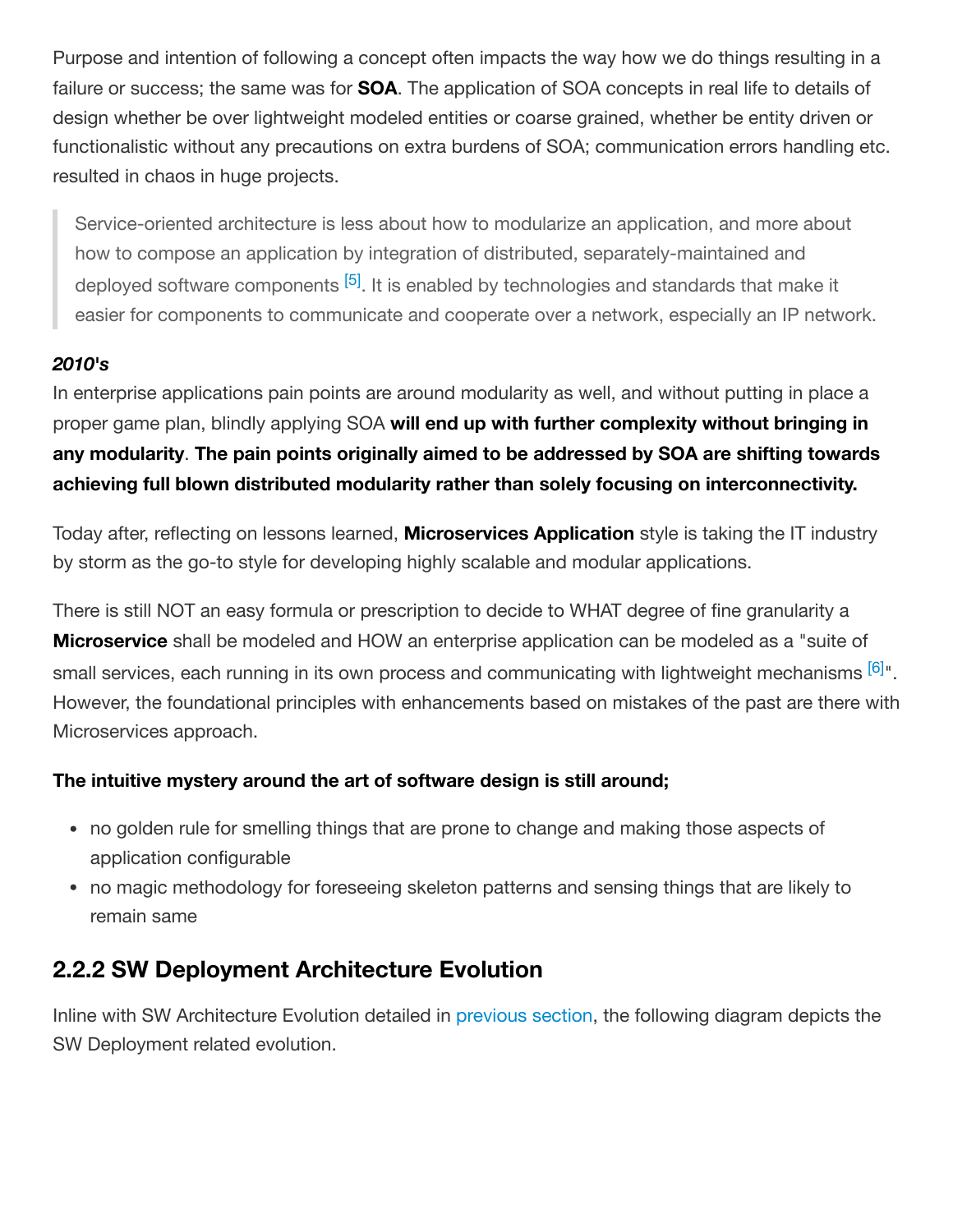Purpose and intention of following a concept often impacts the way how we do things resulting in a failure or success; the same was for **SOA**. The application of SOA concepts in real life to details of design whether be over lightweight modeled entities or coarse grained, whether be entity driven or functionalistic without any precautions on extra burdens of SOA; communication errors handling etc. resulted in chaos in huge projects.

<span id="page-7-0"></span>Service-oriented architecture is less about how to modularize an application, and more about how to compose an application by integration of distributed, separately-maintained and deployed software components <sup>[\[5\]](#page-17-4)</sup>. It is enabled by technologies and standards that make it easier for components to communicate and cooperate over a network, especially an IP network.

#### *2010's*

In enterprise applications pain points are around modularity as well, and without putting in place a proper game plan, blindly applying SOA **will end up with further complexity without bringing in any modularity**. **The pain points originally aimed to be addressed by SOA are shifting towards achieving full blown distributed modularity rather than solely focusing on interconnectivity.**

Today after, reflecting on lessons learned, **Microservices Application** style is taking the IT industry by storm as the go-to style for developing highly scalable and modular applications.

There is still NOT an easy formula or prescription to decide to WHAT degree of fine granularity a **Microservice** shall be modeled and HOW an enterprise application can be modeled as a "suite of small services, each running in its own process and communicating with lightweight mechanisms  $[6]$ ". However, the foundational principles with enhancements based on mistakes of the past are there with Microservices approach.

#### **The intuitive mystery around the art of software design is still around;**

- <span id="page-7-1"></span>no golden rule for smelling things that are prone to change and making those aspects of application configurable
- no magic methodology for foreseeing skeleton patterns and sensing things that are likely to remain same

### **2.2.2 SW Deployment Architecture Evolution**

Inline with SW Architecture Evolution detailed in [previous section](#page-6-1), the following diagram depicts the SW Deployment related evolution.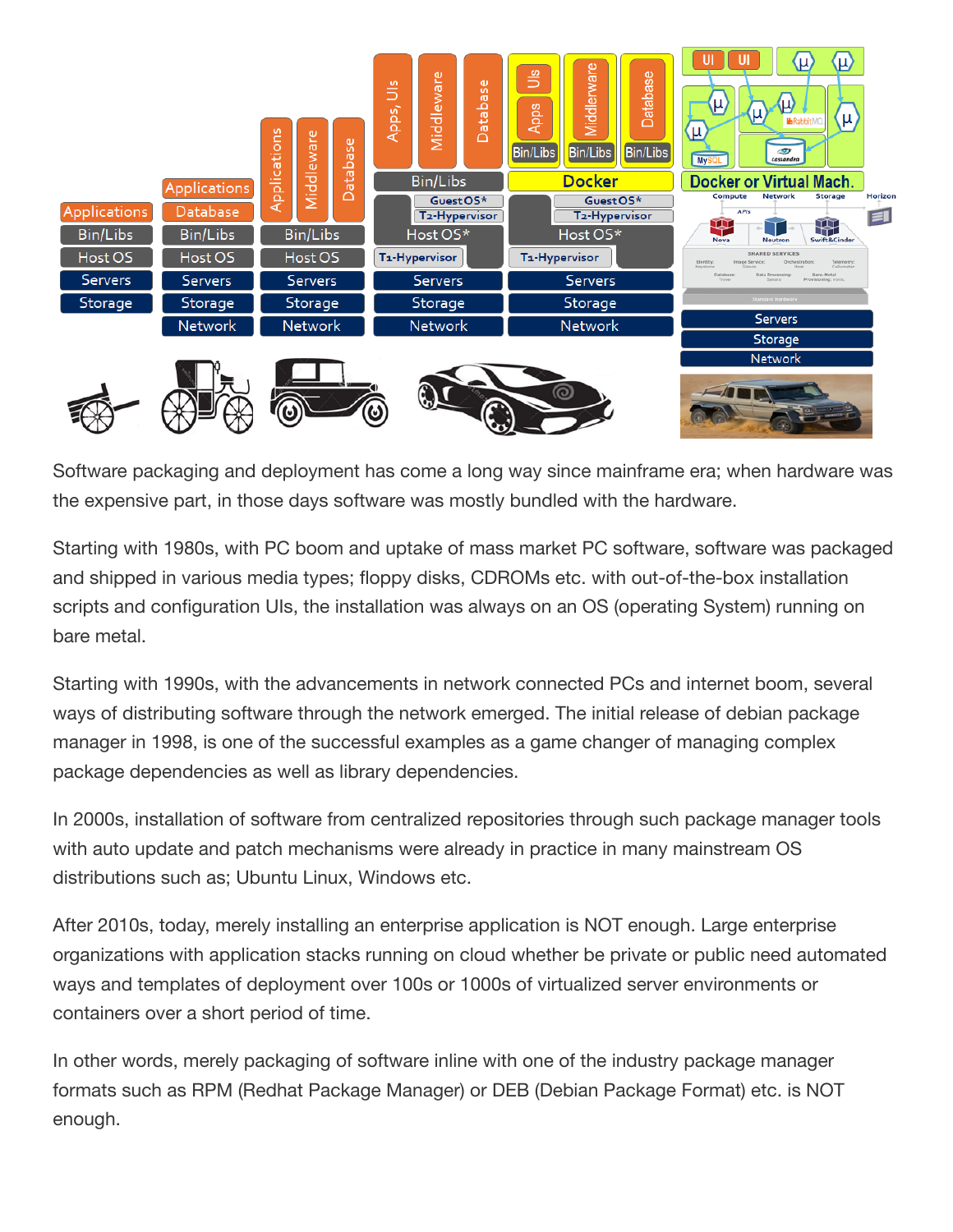

Software packaging and deployment has come a long way since mainframe era; when hardware was the expensive part, in those days software was mostly bundled with the hardware.

Starting with 1980s, with PC boom and uptake of mass market PC software, software was packaged and shipped in various media types; floppy disks, CDROMs etc. with out-of-the-box installation scripts and configuration UIs, the installation was always on an OS (operating System) running on bare metal.

Starting with 1990s, with the advancements in network connected PCs and internet boom, several ways of distributing software through the network emerged. The initial release of debian package manager in 1998, is one of the successful examples as a game changer of managing complex package dependencies as well as library dependencies.

In 2000s, installation of software from centralized repositories through such package manager tools with auto update and patch mechanisms were already in practice in many mainstream OS distributions such as; Ubuntu Linux, Windows etc.

After 2010s, today, merely installing an enterprise application is NOT enough. Large enterprise organizations with application stacks running on cloud whether be private or public need automated ways and templates of deployment over 100s or 1000s of virtualized server environments or containers over a short period of time.

In other words, merely packaging of software inline with one of the industry package manager formats such as RPM (Redhat Package Manager) or DEB (Debian Package Format) etc. is NOT enough.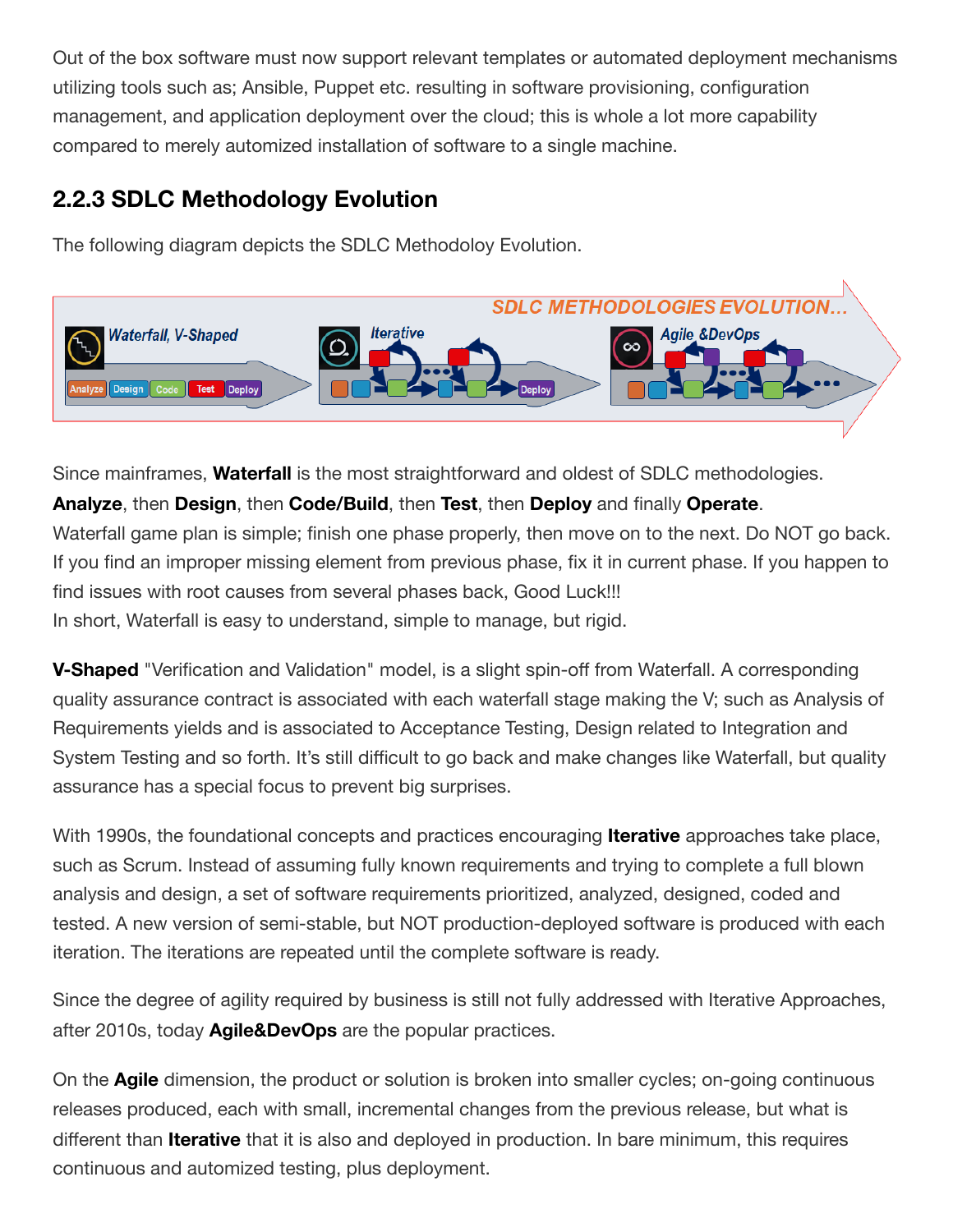Out of the box software must now support relevant templates or automated deployment mechanisms utilizing tools such as; Ansible, Puppet etc. resulting in software provisioning, configuration management, and application deployment over the cloud; this is whole a lot more capability compared to merely automized installation of software to a single machine.

### **2.2.3 SDLC Methodology Evolution**

The following diagram depicts the SDLC Methodoloy Evolution.



Since mainframes, **Waterfall** is the most straightforward and oldest of SDLC methodologies.

**Analyze**, then **Design**, then **Code/Build**, then **Test**, then **Deploy** and finally **Operate**.

Waterfall game plan is simple; finish one phase properly, then move on to the next. Do NOT go back. If you find an improper missing element from previous phase, fix it in current phase. If you happen to find issues with root causes from several phases back, Good Luck!!! In short, Waterfall is easy to understand, simple to manage, but rigid.

**V-Shaped** "Verification and Validation" model, is a slight spin-off from Waterfall. A corresponding quality assurance contract is associated with each waterfall stage making the V; such as Analysis of Requirements yields and is associated to Acceptance Testing, Design related to Integration and System Testing and so forth. It's still difficult to go back and make changes like Waterfall, but quality assurance has a special focus to prevent big surprises.

With 1990s, the foundational concepts and practices encouraging **Iterative** approaches take place, such as Scrum. Instead of assuming fully known requirements and trying to complete a full blown analysis and design, a set of software requirements prioritized, analyzed, designed, coded and tested. A new version of semi-stable, but NOT production-deployed software is produced with each iteration. The iterations are repeated until the complete software is ready.

Since the degree of agility required by business is still not fully addressed with Iterative Approaches, after 2010s, today **Agile&DevOps** are the popular practices.

On the **Agile** dimension, the product or solution is broken into smaller cycles; on-going continuous releases produced, each with small, incremental changes from the previous release, but what is different than **Iterative** that it is also and deployed in production. In bare minimum, this requires continuous and automized testing, plus deployment.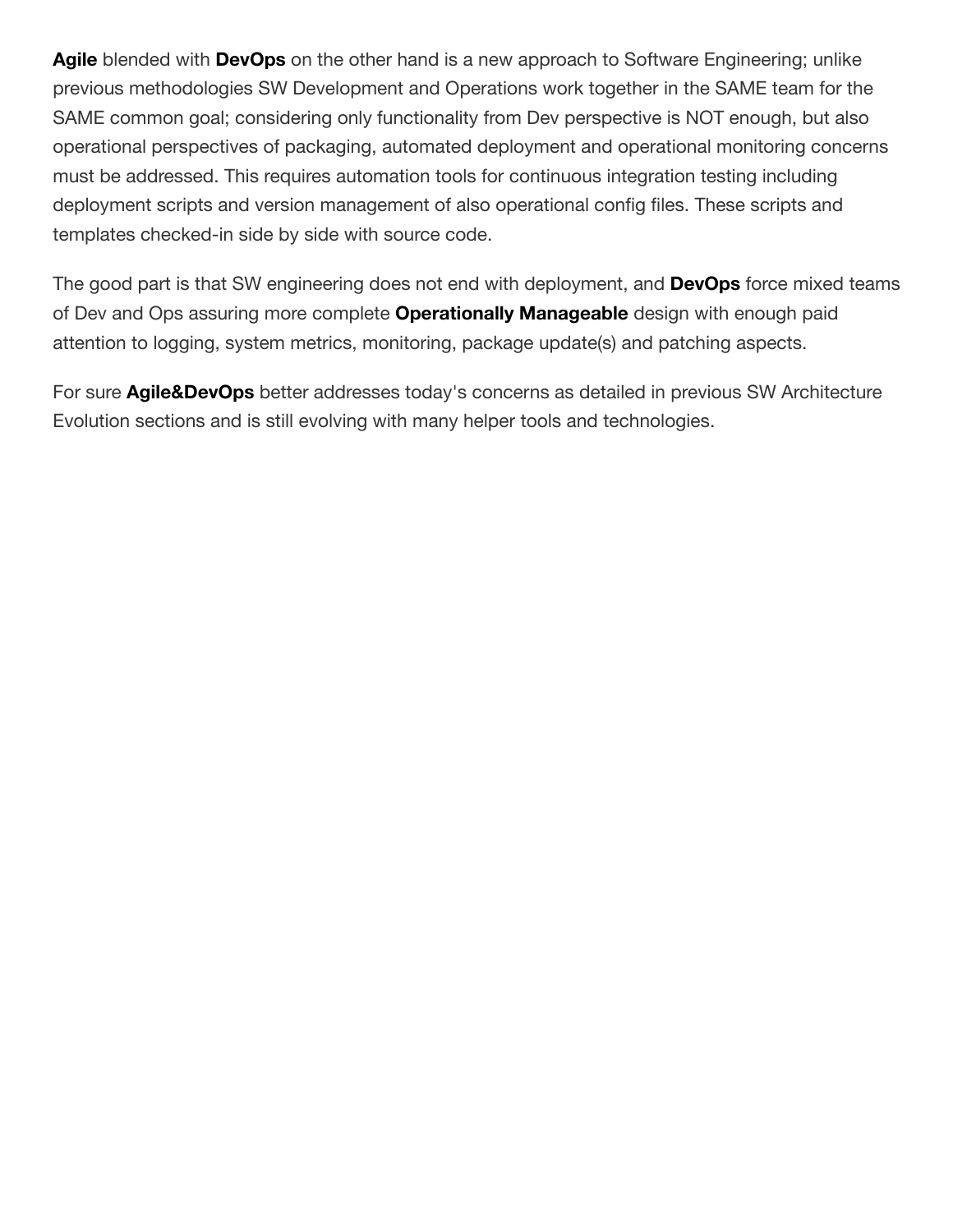**Agile** blended with **DevOps** on the other hand is a new approach to Software Engineering; unlike previous methodologies SW Development and Operations work together in the SAME team for the SAME common goal; considering only functionality from Dev perspective is NOT enough, but also operational perspectives of packaging, automated deployment and operational monitoring concerns must be addressed. This requires automation tools for continuous integration testing including deployment scripts and version management of also operational config files. These scripts and templates checked-in side by side with source code.

The good part is that SW engineering does not end with deployment, and **DevOps** force mixed teams of Dev and Ops assuring more complete **Operationally Manageable** design with enough paid attention to logging, system metrics, monitoring, package update(s) and patching aspects.

For sure **Agile&DevOps** better addresses today's concerns as detailed in previous SW Architecture Evolution sections and is still evolving with many helper tools and technologies.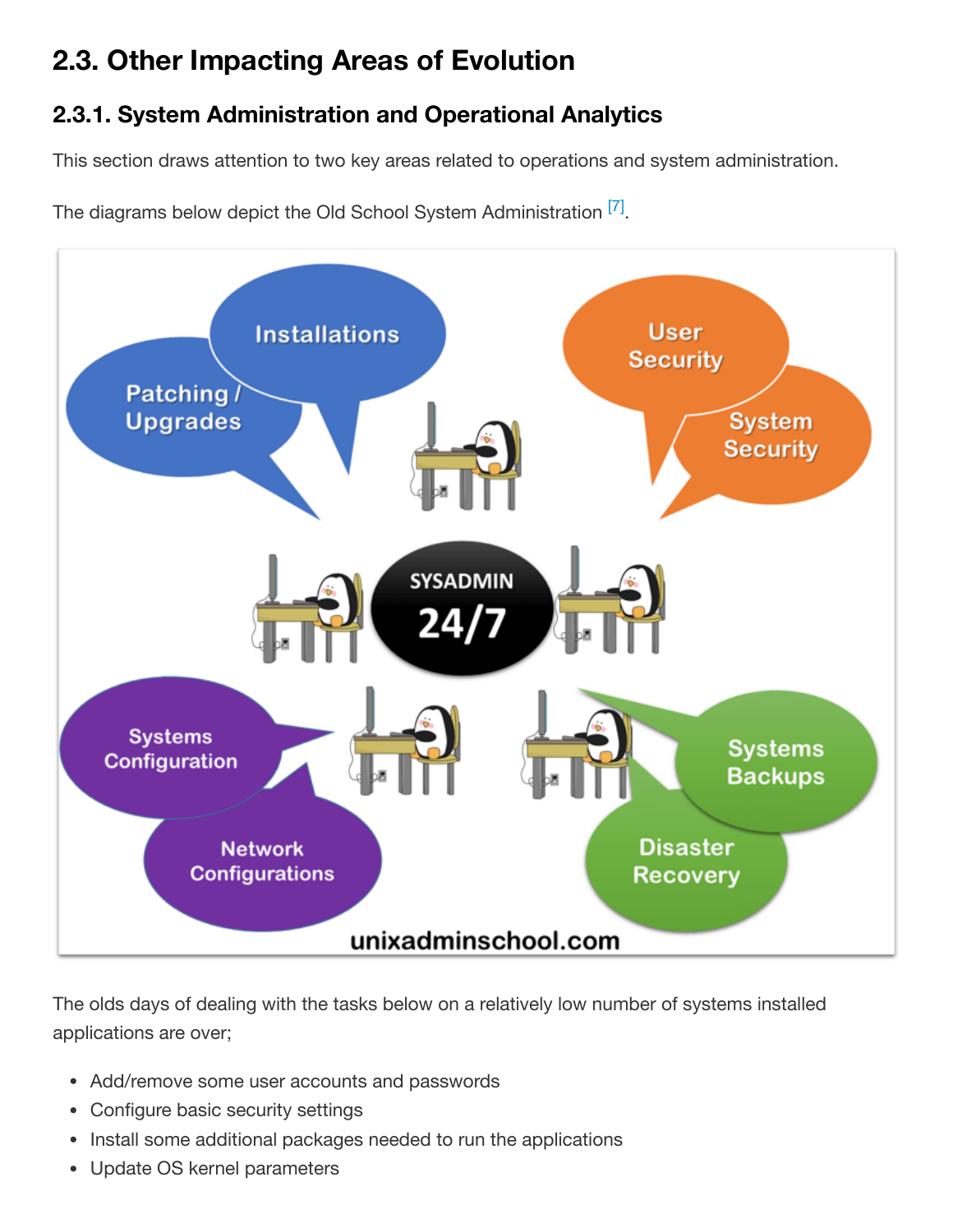## <span id="page-11-0"></span>**2.3. Other Impacting Areas of Evolution**

## **2.3.1. System Administration and Operational Analytics**

This section draws attention to two key areas related to operations and system administration.

<span id="page-11-1"></span>The diagrams below depict the Old School System Administration <sup>[\[7\]](#page-17-6)</sup>.



The olds days of dealing with the tasks below on a relatively low number of systems installed applications are over;

- Add/remove some user accounts and passwords
- Configure basic security settings
- Install some additional packages needed to run the applications
- Update OS kernel parameters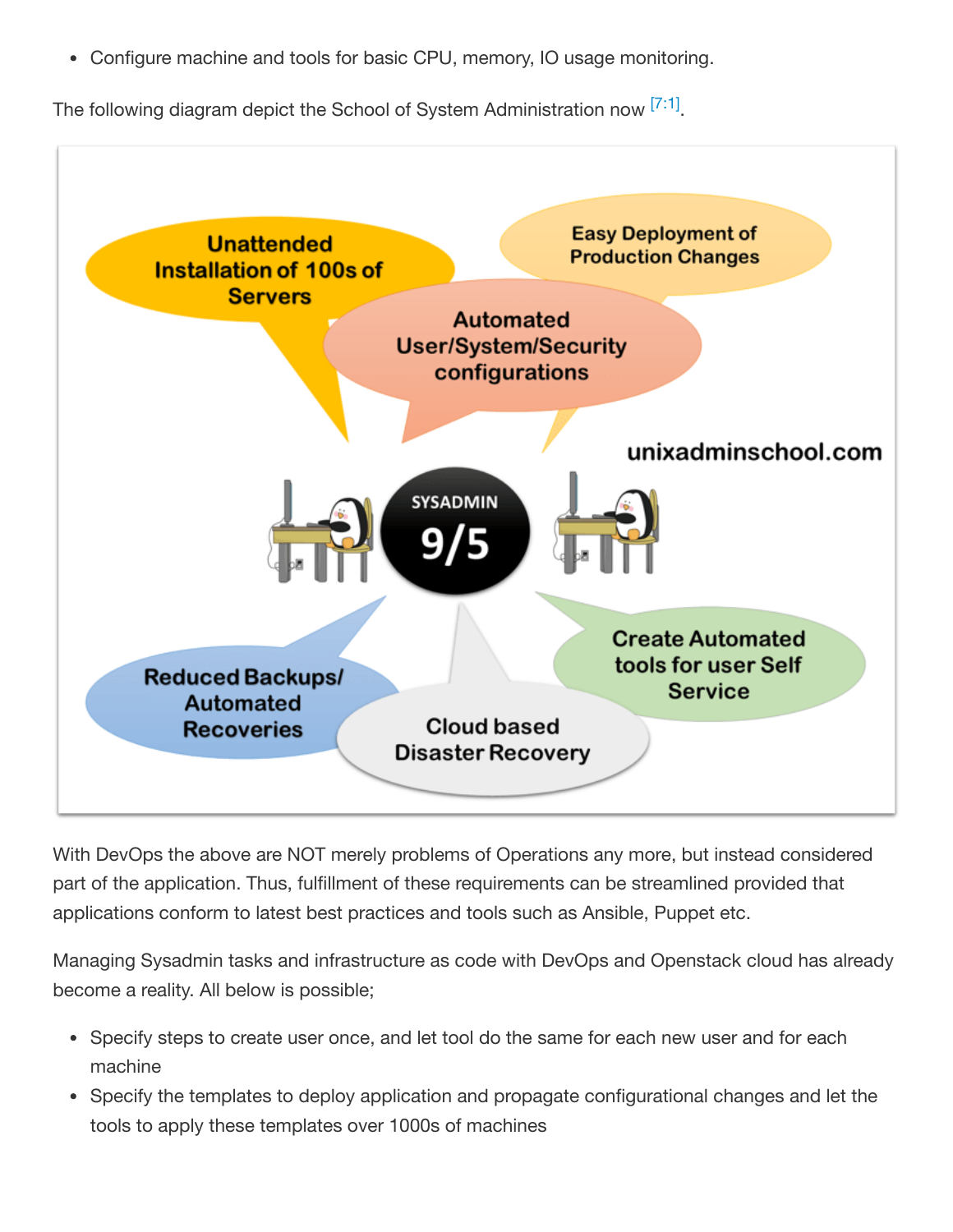<span id="page-12-0"></span>Configure machine and tools for basic CPU, memory, IO usage monitoring.

The following diagram depict the School of System Administration now [\[7:1\]](#page-17-6).



With DevOps the above are NOT merely problems of Operations any more, but instead considered part of the application. Thus, fulfillment of these requirements can be streamlined provided that applications conform to latest best practices and tools such as Ansible, Puppet etc.

Managing Sysadmin tasks and infrastructure as code with DevOps and Openstack cloud has already become a reality. All below is possible;

- Specify steps to create user once, and let tool do the same for each new user and for each machine
- Specify the templates to deploy application and propagate configurational changes and let the tools to apply these templates over 1000s of machines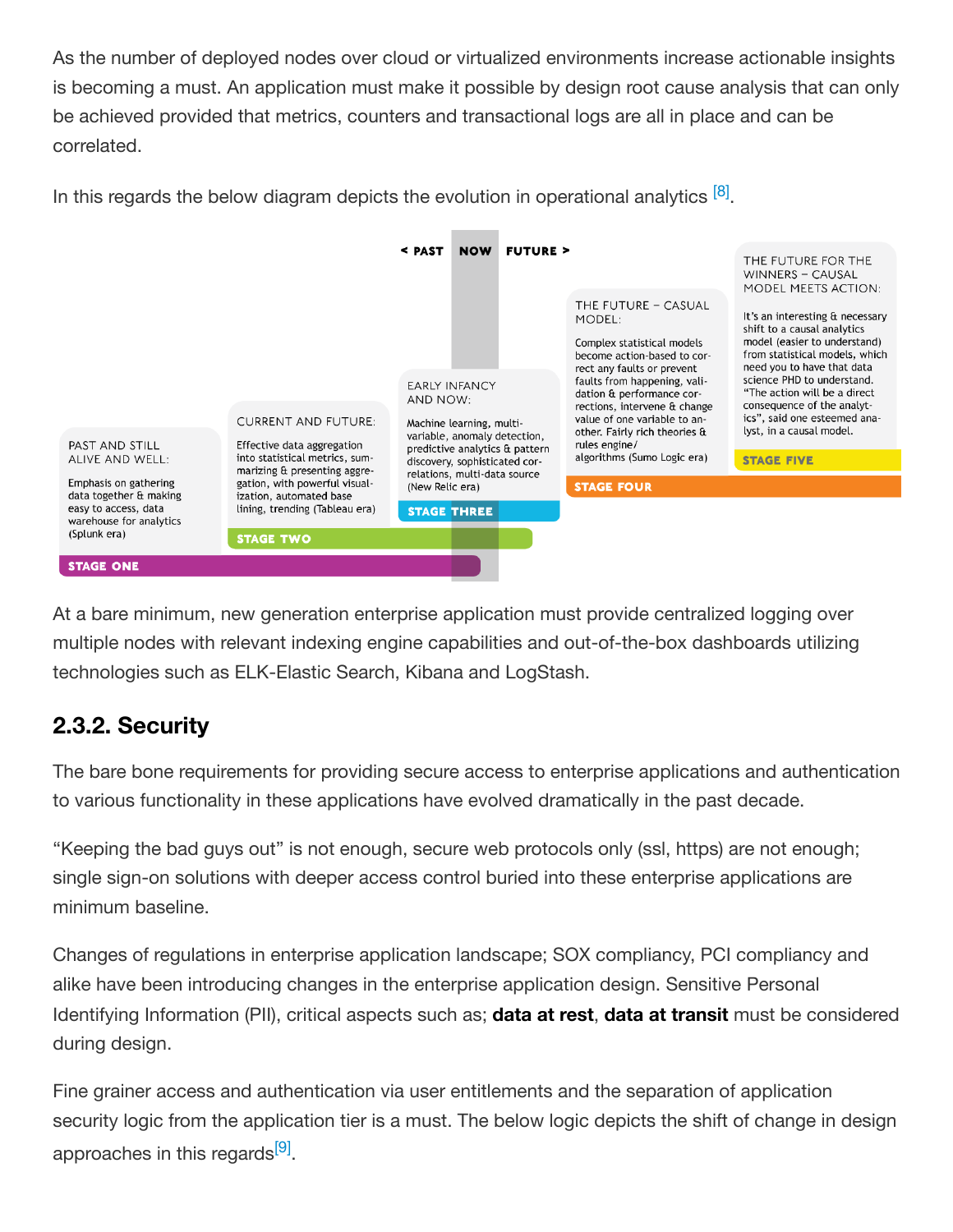As the number of deployed nodes over cloud or virtualized environments increase actionable insights is becoming a must. An application must make it possible by design root cause analysis that can only be achieved provided that metrics, counters and transactional logs are all in place and can be correlated.



<span id="page-13-0"></span>In this regards the below diagram depicts the evolution in operational analytics  $[8]$ .

At a bare minimum, new generation enterprise application must provide centralized logging over multiple nodes with relevant indexing engine capabilities and out-of-the-box dashboards utilizing technologies such as ELK-Elastic Search, Kibana and LogStash.

## **2.3.2. Security**

The bare bone requirements for providing secure access to enterprise applications and authentication to various functionality in these applications have evolved dramatically in the past decade.

"Keeping the bad guys out" is not enough, secure web protocols only (ssl, https) are not enough; single sign-on solutions with deeper access control buried into these enterprise applications are minimum baseline.

Changes of regulations in enterprise application landscape; SOX compliancy, PCI compliancy and alike have been introducing changes in the enterprise application design. Sensitive Personal Identifying Information (PII), critical aspects such as; **data at rest**, **data at transit** must be considered during design.

<span id="page-13-1"></span>Fine grainer access and authentication via user entitlements and the separation of application security logic from the application tier is a must. The below logic depicts the shift of change in design approaches in this regards<sup>[\[9\]](#page-17-8)</sup>.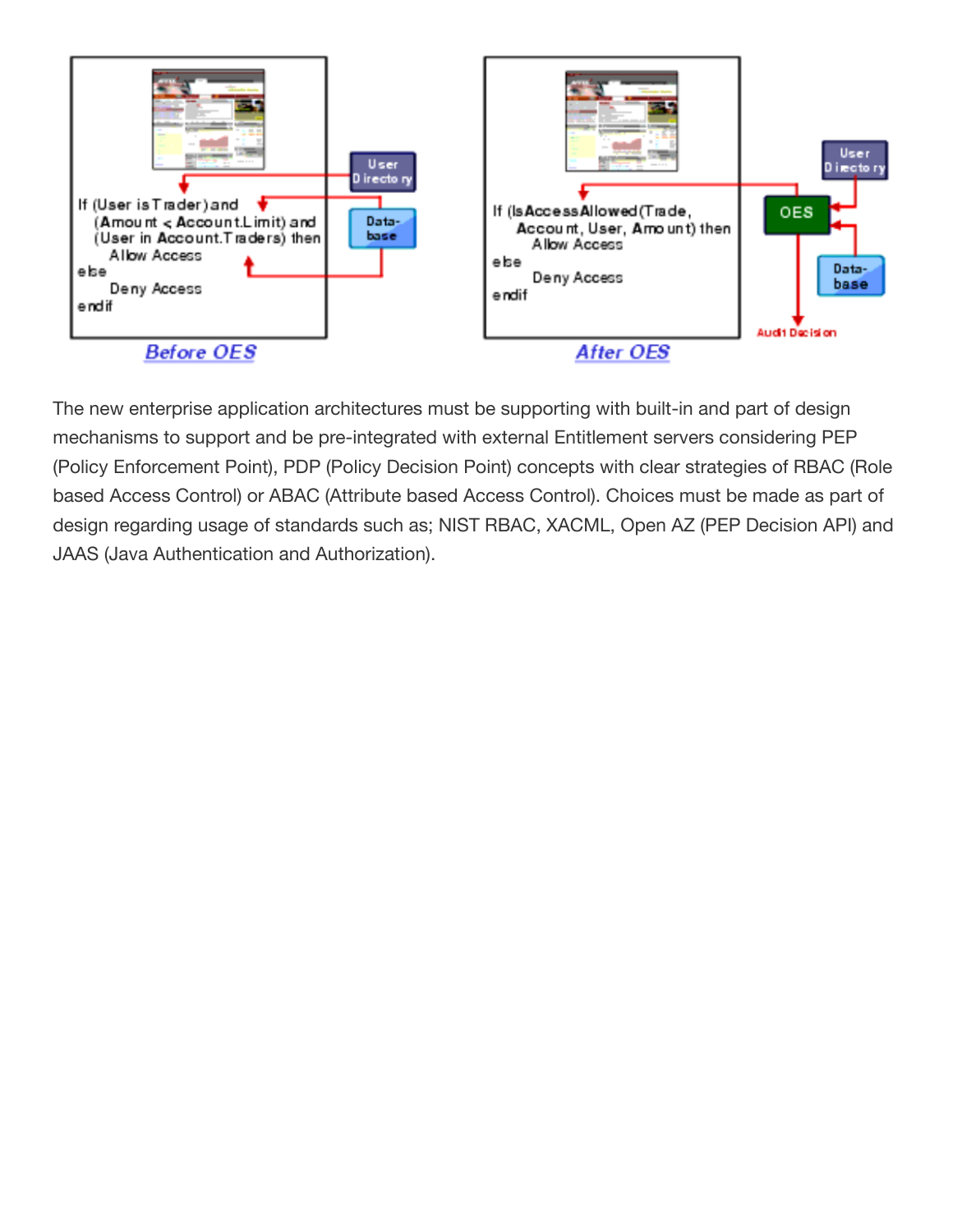

The new enterprise application architectures must be supporting with built-in and part of design mechanisms to support and be pre-integrated with external Entitlement servers considering PEP (Policy Enforcement Point), PDP (Policy Decision Point) concepts with clear strategies of RBAC (Role based Access Control) or ABAC (Attribute based Access Control). Choices must be made as part of design regarding usage of standards such as; NIST RBAC, XACML, Open AZ (PEP Decision API) and JAAS (Java Authentication and Authorization).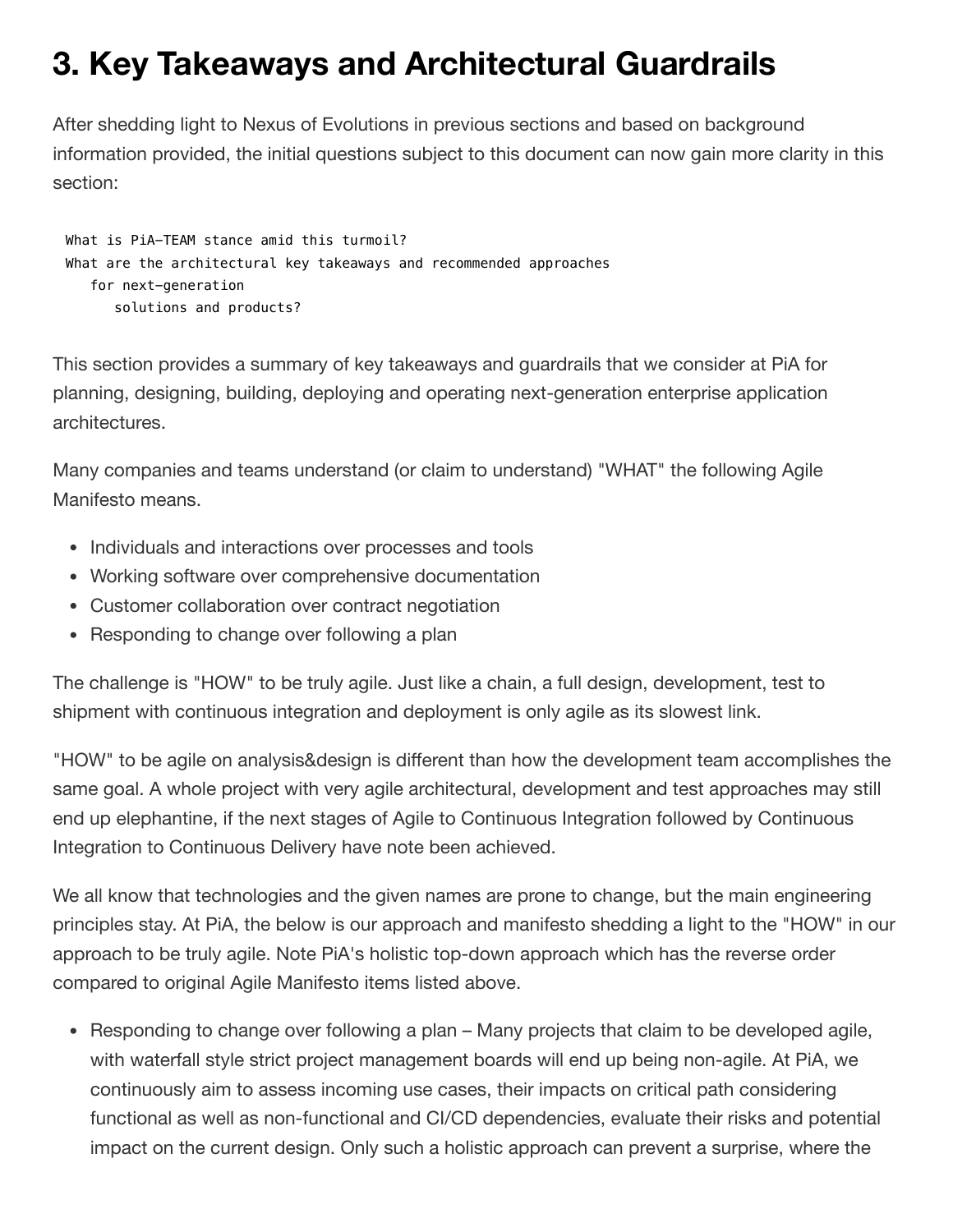# <span id="page-15-0"></span>**3. Key Takeaways and Architectural Guardrails**

After shedding light to Nexus of Evolutions in previous sections and based on background information provided, the initial questions subject to this document can now gain more clarity in this section:

```
What is PiA-TEAM stance amid this turmoil?
What are the architectural key takeaways and recommended approaches
   for next-generation
      solutions and products?
```
This section provides a summary of key takeaways and guardrails that we consider at PiA for planning, designing, building, deploying and operating next-generation enterprise application architectures.

Many companies and teams understand (or claim to understand) "WHAT" the following Agile Manifesto means.

- Individuals and interactions over processes and tools
- Working software over comprehensive documentation
- Customer collaboration over contract negotiation
- Responding to change over following a plan

The challenge is "HOW" to be truly agile. Just like a chain, a full design, development, test to shipment with continuous integration and deployment is only agile as its slowest link.

"HOW" to be agile on analysis&design is different than how the development team accomplishes the same goal. A whole project with very agile architectural, development and test approaches may still end up elephantine, if the next stages of Agile to Continuous Integration followed by Continuous Integration to Continuous Delivery have note been achieved.

We all know that technologies and the given names are prone to change, but the main engineering principles stay. At PiA, the below is our approach and manifesto shedding a light to the "HOW" in our approach to be truly agile. Note PiA's holistic top-down approach which has the reverse order compared to original Agile Manifesto items listed above.

• Responding to change over following a plan – Many projects that claim to be developed agile, with waterfall style strict project management boards will end up being non-agile. At PiA, we continuously aim to assess incoming use cases, their impacts on critical path considering functional as well as non-functional and CI/CD dependencies, evaluate their risks and potential impact on the current design. Only such a holistic approach can prevent a surprise, where the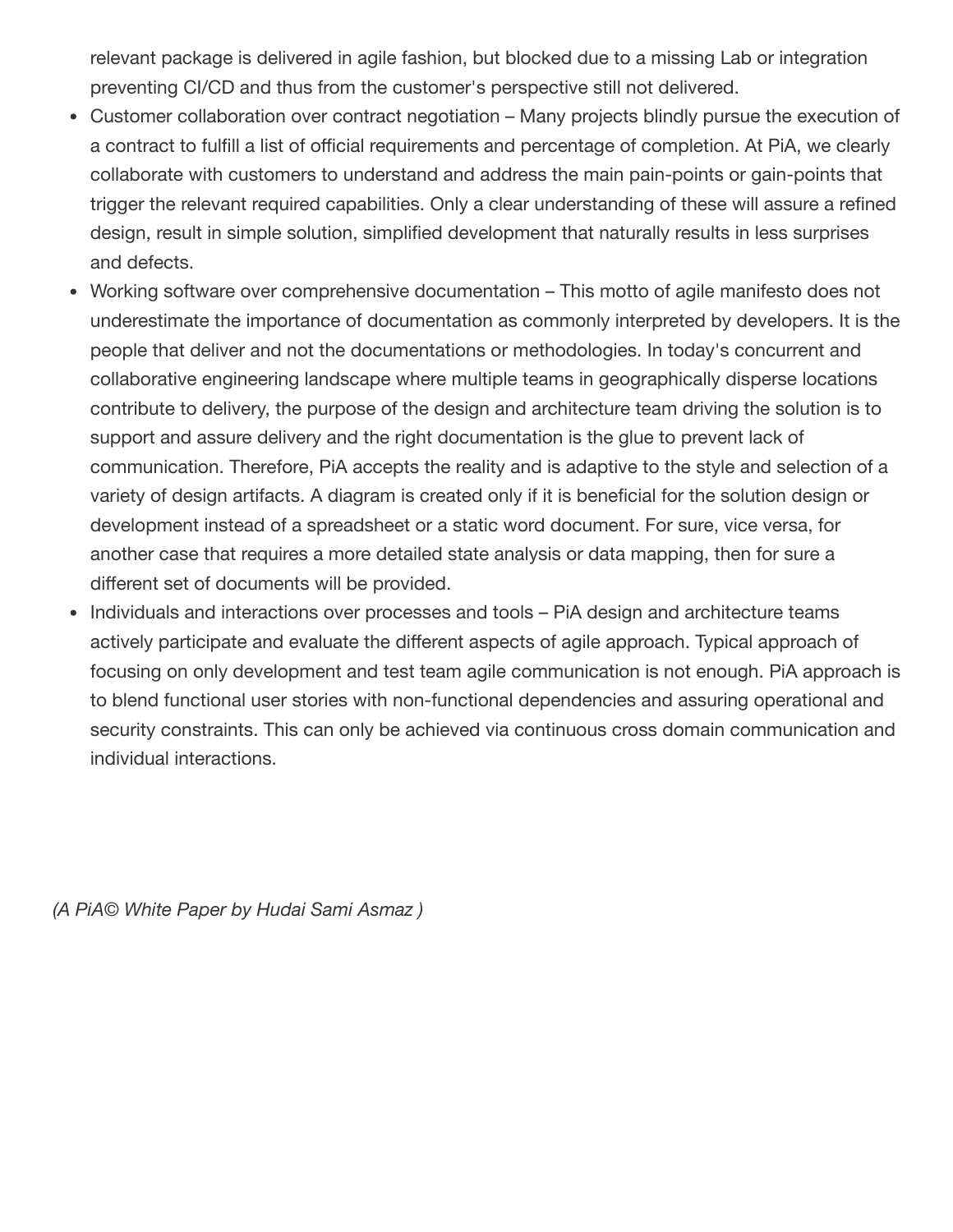relevant package is delivered in agile fashion, but blocked due to a missing Lab or integration preventing CI/CD and thus from the customer's perspective still not delivered.

- Customer collaboration over contract negotiation Many projects blindly pursue the execution of  $\bullet$ a contract to fulfill a list of official requirements and percentage of completion. At PiA, we clearly collaborate with customers to understand and address the main pain-points or gain-points that trigger the relevant required capabilities. Only a clear understanding of these will assure a refined design, result in simple solution, simplified development that naturally results in less surprises and defects.
- Working software over comprehensive documentation This motto of agile manifesto does not  $\bullet$ underestimate the importance of documentation as commonly interpreted by developers. It is the people that deliver and not the documentations or methodologies. In today's concurrent and collaborative engineering landscape where multiple teams in geographically disperse locations contribute to delivery, the purpose of the design and architecture team driving the solution is to support and assure delivery and the right documentation is the glue to prevent lack of communication. Therefore, PiA accepts the reality and is adaptive to the style and selection of a variety of design artifacts. A diagram is created only if it is beneficial for the solution design or development instead of a spreadsheet or a static word document. For sure, vice versa, for another case that requires a more detailed state analysis or data mapping, then for sure a different set of documents will be provided.
- Individuals and interactions over processes and tools PiA design and architecture teams actively participate and evaluate the different aspects of agile approach. Typical approach of focusing on only development and test team agile communication is not enough. PiA approach is to blend functional user stories with non-functional dependencies and assuring operational and security constraints. This can only be achieved via continuous cross domain communication and individual interactions.

*(A PiA© White Paper by Hudai Sami Asmaz )*